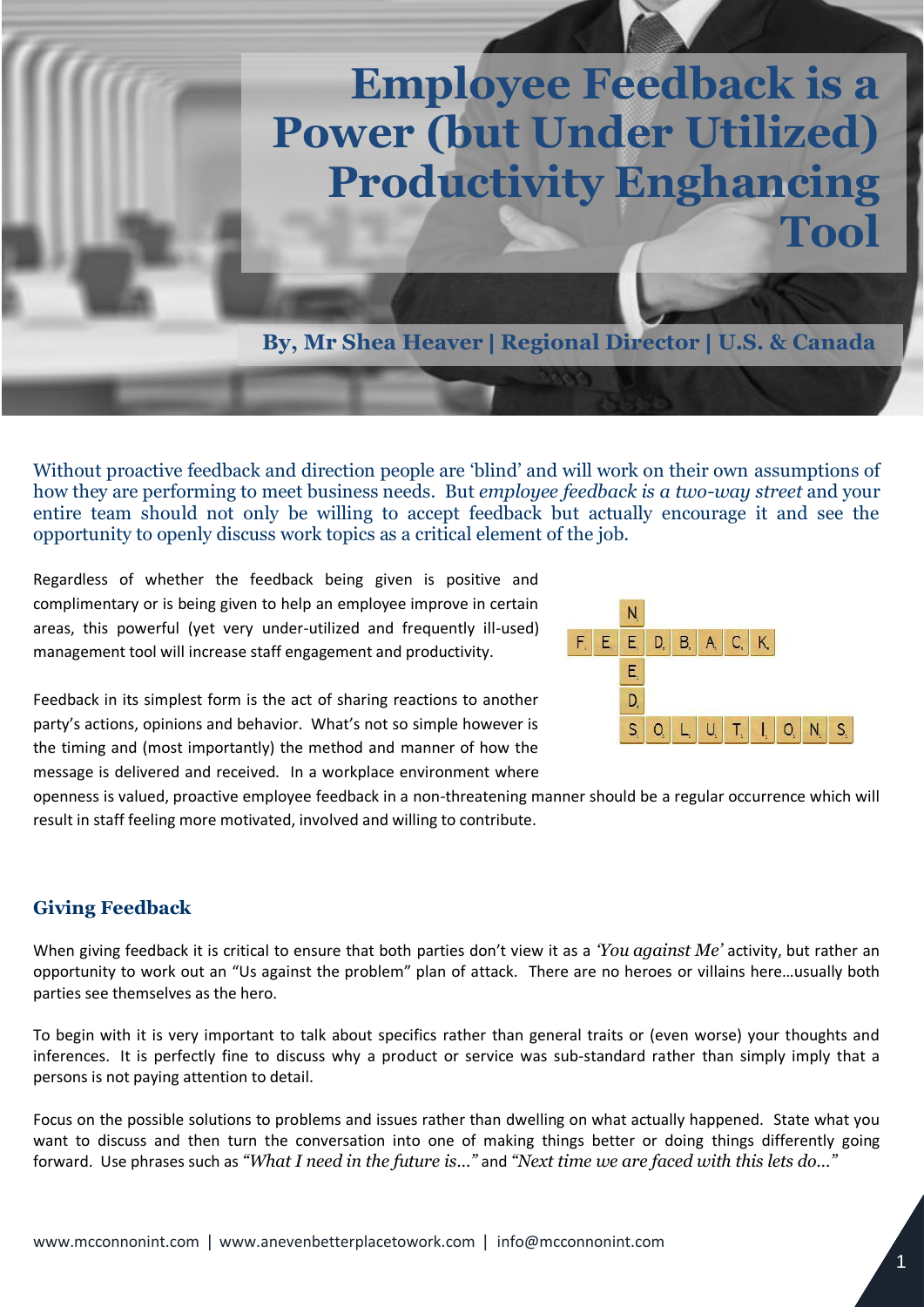## Employee Feedback is a Powerful Productivity Enhancing Tool **Employee Feedback is a Power (but Under Utilized) Productivity Enghancing Tool**

**By, Mr Shea Heaver | Regional Director | U.S. & Canada**

Without proactive feedback and direction people are 'blind' and will work on their own assumptions of how they are performing to meet business needs. But *employee feedback is a two-way street* and your entire team should not only be willing to accept feedback but actually encourage it and see the opportunity to openly discuss work topics as a critical element of the job.

Regardless of whether the feedback being given is positive and complimentary or is being given to help an employee improve in certain areas, this powerful (yet very under-utilized and frequently ill-used) management tool will increase staff engagement and productivity.



Feedback in its simplest form is the act of sharing reactions to another party's actions, opinions and behavior. What's not so simple however is the timing and (most importantly) the method and manner of how the message is delivered and received. In a workplace environment where

openness is valued, proactive employee feedback in a non-threatening manner should be a regular occurrence which will result in staff feeling more motivated, involved and willing to contribute.

## **Giving Feedback**

When giving feedback it is critical to ensure that both parties don't view it as a *'You against Me'* activity, but rather an opportunity to work out an "Us against the problem" plan of attack. There are no heroes or villains here…usually both parties see themselves as the hero.

To begin with it is very important to talk about specifics rather than general traits or (even worse) your thoughts and inferences. It is perfectly fine to discuss why a product or service was sub-standard rather than simply imply that a persons is not paying attention to detail.

Focus on the possible solutions to problems and issues rather than dwelling on what actually happened. State what you want to discuss and then turn the conversation into one of making things better or doing things differently going forward. Use phrases such as *"What I need in the future is…"* and *"Next time we are faced with this lets do…"*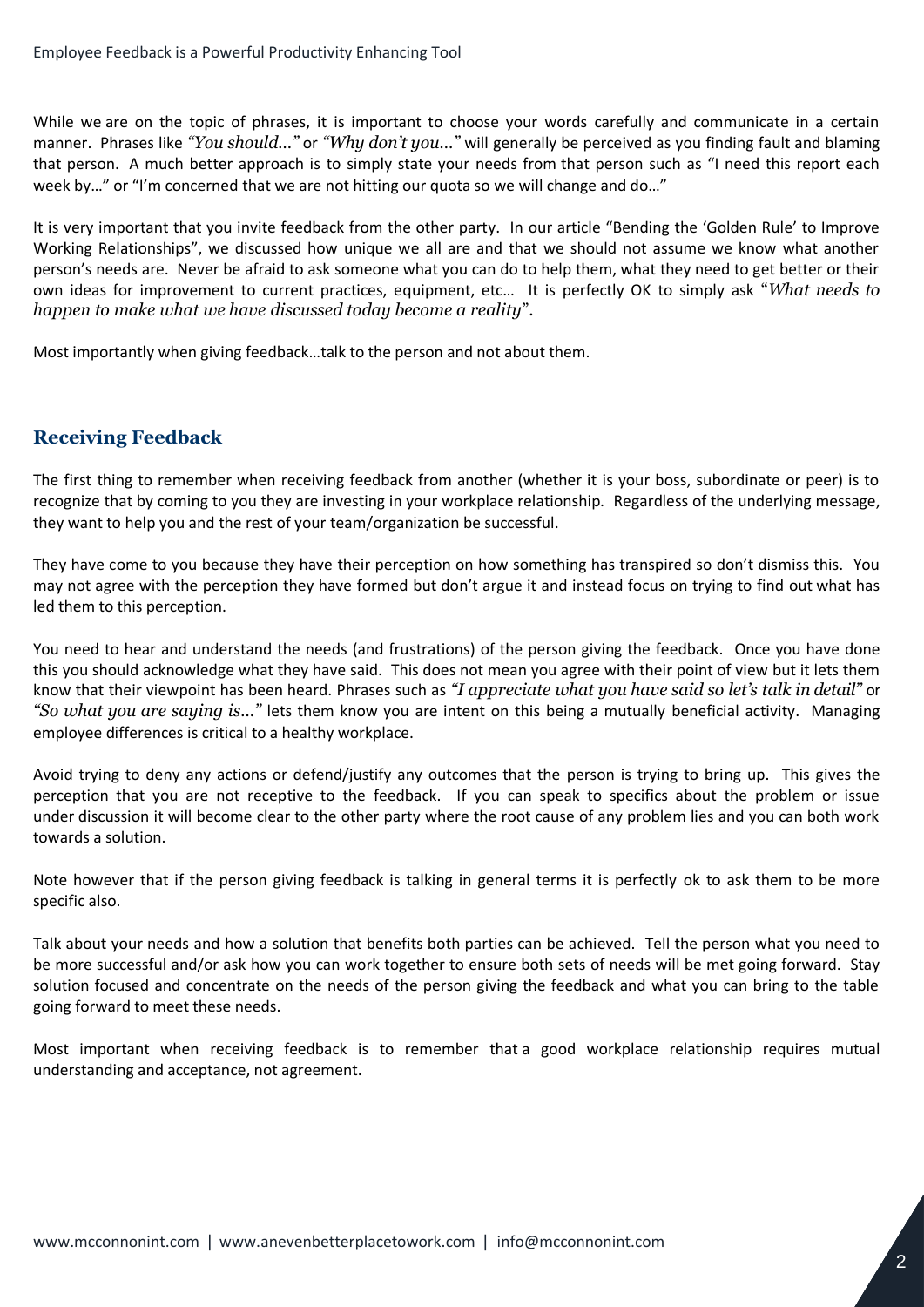While we are on the topic of phrases, it is important to choose your words carefully and communicate in a certain manner. Phrases like *"You should…"* or *"Why don't you…"* will generally be perceived as you finding fault and blaming that person. A much better approach is to simply state your needs from that person such as "I need this report each week by..." or "I'm concerned that we are not hitting our quota so we will change and do..."

It is very important that you invite feedback from the other party. In our article "Bending the 'Golden Rule' to Improve Working Relationships", we discussed how unique we all are and that we should not assume we know what another person's needs are. Never be afraid to ask someone what you can do to help them, what they need to get better or their own ideas for improvement to current practices, equipment, etc… It is perfectly OK to simply ask "*What needs to happen to make what we have discussed today become a reality*".

Most importantly when giving feedback…talk to the person and not about them.

## **Receiving Feedback**

The first thing to remember when receiving feedback from another (whether it is your boss, subordinate or peer) is to recognize that by coming to you they are investing in your workplace relationship. Regardless of the underlying message, they want to help you and the rest of your team/organization be successful.

They have come to you because they have their perception on how something has transpired so don't dismiss this. You may not agree with the perception they have formed but don't argue it and instead focus on trying to find out what has led them to this perception.

You need to hear and understand the needs (and frustrations) of the person giving the feedback. Once you have done this you should acknowledge what they have said. This does not mean you agree with their point of view but it lets them know that their viewpoint has been heard. Phrases such as *"I appreciate what you have said so let's talk in detail"* or *"So what you are saying is…"* lets them know you are intent on this being a mutually beneficial activity. [Managing](http://www.satisfactionatwork.com/employee-difference-management.html)  [employee differences](http://www.satisfactionatwork.com/employee-difference-management.html) is critical to a healthy workplace.

Avoid trying to deny any actions or defend/justify any outcomes that the person is trying to bring up. This gives the perception that you are not receptive to the feedback. If you can speak to specifics about the problem or issue under discussion it will become clear to the other party where the root cause of any problem lies and you can both work towards a solution.

Note however that if the person giving feedback is talking in general terms it is perfectly ok to ask them to be more specific also.

Talk about your needs and how a solution that benefits both parties can be achieved. Tell the person what you need to be more successful and/or ask how you can work together to ensure both sets of needs will be met going forward. Stay solution focused and concentrate on the needs of the person giving the feedback and what you can bring to the table going forward to meet these needs.

Most important when receiving feedback is to remember that a good workplace relationship requires mutual understanding and acceptance, not agreement.